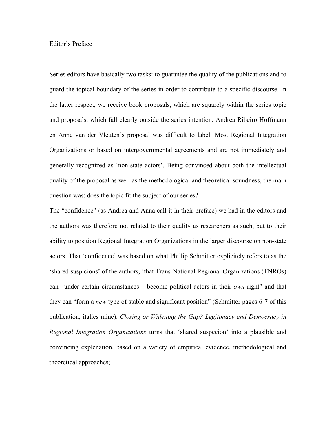## Editor's Preface

Series editors have basically two tasks: to guarantee the quality of the publications and to guard the topical boundary of the series in order to contribute to a specific discourse. In the latter respect, we receive book proposals, which are squarely within the series topic and proposals, which fall clearly outside the series intention. Andrea Ribeiro Hoffmann en Anne van der Vleuten's proposal was difficult to label. Most Regional Integration Organizations or based on intergovernmental agreements and are not immediately and generally recognized as 'non-state actors'. Being convinced about both the intellectual quality of the proposal as well as the methodological and theoretical soundness, the main question was: does the topic fit the subject of our series?

The "confidence" (as Andrea and Anna call it in their preface) we had in the editors and the authors was therefore not related to their quality as researchers as such, but to their ability to position Regional Integration Organizations in the larger discourse on non-state actors. That 'confidence' was based on what Phillip Schmitter explicitely refers to as the 'shared suspicions' of the authors, 'that Trans-National Regional Organizations (TNROs) can –under certain circumstances – become political actors in their *own* right" and that they can "form a *new* type of stable and significant position" (Schmitter pages 6-7 of this publication, italics mine). *Closing or Widening the Gap? Legitimacy and Democracy in Regional Integration Organizations* turns that 'shared suspecion' into a plausible and convincing explenation, based on a variety of empirical evidence, methodological and theoretical approaches;